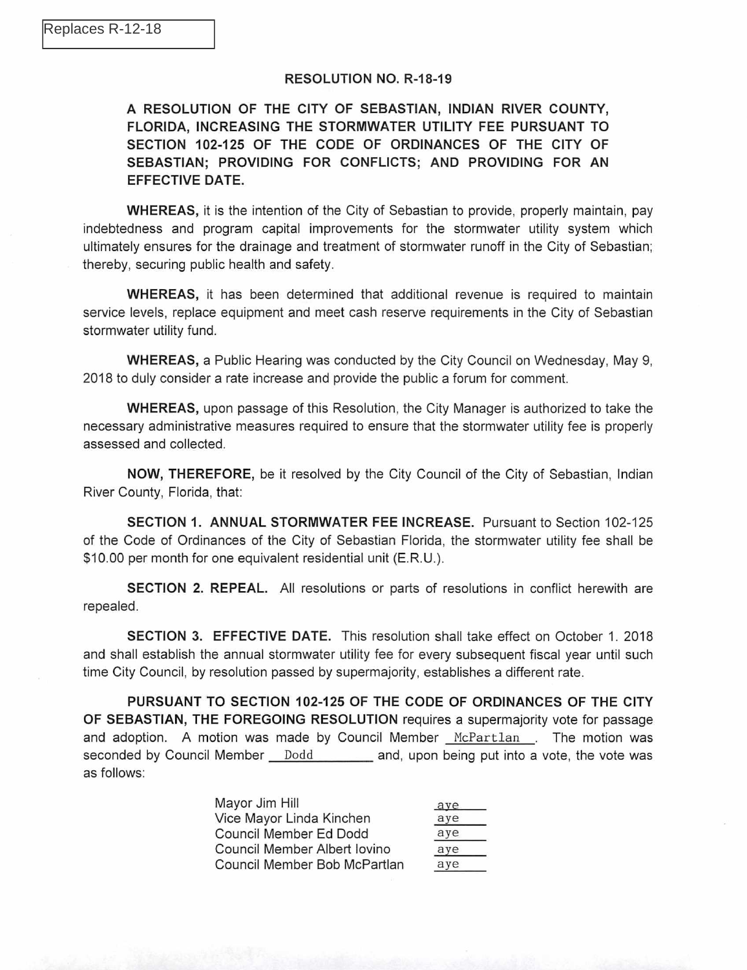## RESOLUTION NO. R-18-19

## A RESOLUTION OF THE CITY OF SEBASTIAN, INDIAN RIVER COUNTY, FLORIDA, INCREASING THE STORMWATER UTILITY FEE PURSUANT TO SECTION 102-125 OF THE CODE OF ORDINANCES OF THE CITY OF SEBASTIAN; PROVIDING FOR CONFLICTS; AND PROVIDING FOR AN EFFECTIVE DATE.

WHEREAS, it is the intention of the City of Sebastian to provide, properly maintain, pay indebtedness and program capital improvements for the stormwater utility system which ultimately ensures for the drainage and treatment of stormwater runoff in the City of Sebastian; thereby, securing public health and safety.

WHEREAS, it has been determined that additional revenue is required to maintain service levels, replace equipment and meet cash reserve requirements in the City of Sebastian stormwater utility fund.

WHEREAS, a Public Hearing was conducted by the City Council on Wednesday, May 9, 2018 to duly consider a rate increase and provide the public a forum for comment.

WHEREAS, upon passage of this Resolution, the City Manager is authorized to take the necessary administrative measures required to ensure that the stormwater utility fee is properly assessed and collected.

NOW, THEREFORE, be it resolved by the City Council of the City of Sebastian, Indian River County, Florida, that:

SECTION 1. ANNUAL STORMWATER FEE INCREASE. Pursuant to Section 102-125 of the Code of Ordinances of the City of Sebastian Florida, the stormwater utility fee shall be \$10.00 per month for one equivalent residential unit (E.R.U.).

SECTION 2. REPEAL. All resolutions or parts of resolutions in conflict herewith are repealed.

SECTION 3. EFFECTIVE DATE. This resolution shall take effect on October 1. 2018 and shall establish the annual stormwater utility fee for every subsequent fiscal year until such time City Council, by resolution passed by supermajority, establishes a different rate.

PURSUANT TO SECTION 102-125 OF THE CODE OF ORDINANCES OF THE CITY OF SEBASTIAN, THE FOREGOING RESOLUTION requires a supermajority vote for passage and adoption. A motion was made by Council Member McPartlan . The motion was seconded by Council Member Dodd and, upon being put into a vote, the vote was as follows:

| Mayor Jim Hill               | aye |
|------------------------------|-----|
| Vice Mayor Linda Kinchen     | aye |
| Council Member Ed Dodd       | aye |
| Council Member Albert Iovino | aye |
| Council Member Bob McPartlan | aye |
|                              |     |